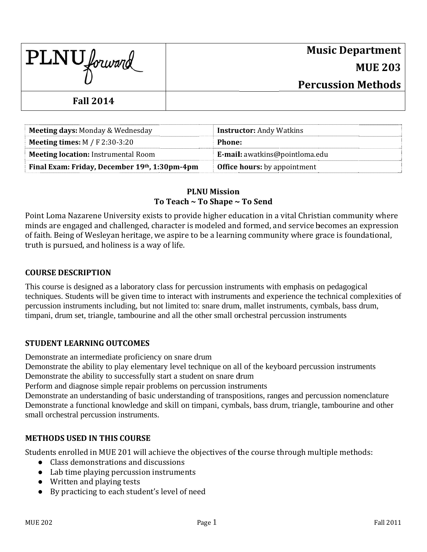| $\text{PLNU}$ forward | <b>Music Department</b>   |
|-----------------------|---------------------------|
|                       | <b>MUE 203</b>            |
|                       | <b>Percussion Methods</b> |
| <b>Fall 2014</b>      |                           |

| Meeting days: Monday & Wednesday              | <b>Instructor:</b> Andy Watkins       |
|-----------------------------------------------|---------------------------------------|
| <b>Meeting times:</b> $M / F$ 2:30-3:20       | Phone:                                |
| <b>Meeting location:</b> Instrumental Room    | <b>E-mail:</b> awatkins@pointloma.edu |
| Final Exam: Friday, December 19th, 1:30pm-4pm | <b>Office hours:</b> by appointment   |

## **PLNU Mission** To Teach ~ To Shape ~ To Send

Point Loma Nazarene University exists to provide higher education in a vital Christian community where minds are engaged and challenged, character is modeled and formed, and service becomes an expression of faith. Being of Weslevan heritage, we aspire to be a learning community where grace is foundational. truth is pursued, and holiness is a way of life.

## **COURSE DESCRIPTION**

This course is designed as a laboratory class for percussion instruments with emphasis on pedagogical techniques. Students will be given time to interact with instruments and experience the technical complexities of percussion instruments including, but not limited to: snare drum, mallet instruments, cymbals, bass drum, timpani, drum set, triangle, tambourine and all the other small orchestral percussion instruments

## **STUDENT LEARNING OUTCOMES**

Demonstrate an intermediate proficiency on snare drum

Demonstrate the ability to play elementary level technique on all of the keyboard percussion instruments Demonstrate the ability to successfully start a student on snare drum

Perform and diagnose simple repair problems on percussion instruments

Demonstrate an understanding of basic understanding of transpositions, ranges and percussion nomenclature Demonstrate a functional knowledge and skill on timpani, cymbals, bass drum, triangle, tambourine and other small orchestral percussion instruments.

## **METHODS USED IN THIS COURSE**

Students enrolled in MUE 201 will achieve the objectives of the course through multiple methods:

- Class demonstrations and discussions
- Lab time playing percussion instruments
- Written and playing tests
- By practicing to each student's level of need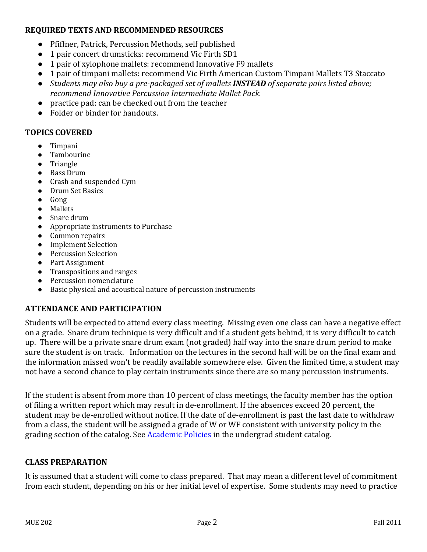## **REQUIRED TEXTS AND RECOMMENDED RESOURCES**

- Pfiffner, Patrick, Percussion Methods, self published
- 1 pair concert drumsticks: recommend Vic Firth SD1
- 1 pair of xylophone mallets: recommend Innovative F9 mallets
- 1 pair of timpani mallets: recommend Vic Firth American Custom Timpani Mallets T3 Staccato
- *Students may also buy a pre‐packaged set of mallets INSTEAD of separate pairs listed above; recommend Innovative Percussion Intermediate Mallet Pack.*
- practice pad: can be checked out from the teacher
- Folder or binder for handouts.

## **TOPICS COVERED**

- Timpani
- Tambourine
- Triangle
- Bass Drum
- Crash and suspended Cym
- Drum Set Basics
- Gong
- Mallets
- Snare drum
- Appropriate instruments to Purchase
- Common repairs
- **Implement Selection**
- Percussion Selection
- Part Assignment
- Transpositions and ranges
- Percussion nomenclature
- Basic physical and acoustical nature of percussion instruments

# **ATTENDANCE AND PARTICIPATION**

Students will be expected to attend every class meeting. Missing even one class can have a negative effect on a grade. Snare drum technique is very difficult and if a student gets behind, it is very difficult to catch up. There will be a private snare drum exam (not graded) half way into the snare drum period to make sure the student is on track. Information on the lectures in the second half will be on the final exam and the information missed won't be readily available somewhere else. Given the limited time, a student may not have a second chance to play certain instruments since there are so many percussion instruments.

If the student is absent from more than 10 percent of class meetings, the faculty member has the option of filing a written report which may result in de-enrollment. If the absences exceed 20 percent, the student may be de-enrolled without notice. If the date of de-enrollment is past the last date to withdraw from a class, the student will be assigned a grade of W or WF consistent with university policy in the grading section of the catalog. See **Academic Policies** in the undergrad student catalog.

## **CLASS PREPARATION**

It is assumed that a student will come to class prepared. That may mean a different level of commitment from each student, depending on his or her initial level of expertise. Some students may need to practice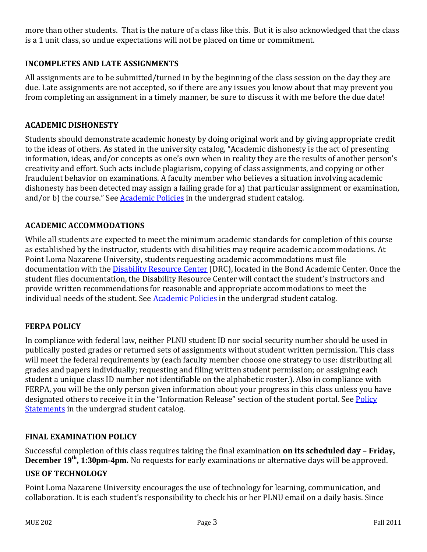more than other students. That is the nature of a class like this. But it is also acknowledged that the class is a 1 unit class, so undue expectations will not be placed on time or commitment.

## **INCOMPLETES AND LATE ASSIGNMENTS**

All assignments are to be submitted/turned in by the beginning of the class session on the day they are due. Late assignments are not accepted, so if there are any issues you know about that may prevent you from completing an assignment in a timely manner, be sure to discuss it with me before the due date!

### **ACADEMIC DISHONESTY**

Students should demonstrate academic honesty by doing original work and by giving appropriate credit to the ideas of others. As stated in the university catalog, "Academic dishonesty is the act of presenting information, ideas, and/or concepts as one's own when in reality they are the results of another person's creativity and effort. Such acts include plagiarism, copying of class assignments, and copying or other fraudulent behavior on examinations. A faculty member who believes a situation involving academic dishonesty has been detected may assign a failing grade for a) that particular assignment or examination, and/or b) the course." See Academic Policies in the undergrad student catalog.

## **ACADEMIC ACCOMMODATIONS**

While all students are expected to meet the minimum academic standards for completion of this course as established by the instructor, students with disabilities may require academic accommodations. At Point Loma Nazarene University, students requesting academic accommodations must file documentation with the Disability Resource Center (DRC), located in the Bond Academic Center. Once the student files documentation, the Disability Resource Center will contact the student's instructors and provide written recommendations for reasonable and appropriate accommodations to meet the individual needs of the student. See Academic Policies in the undergrad student catalog.

## **FERPA POLICY**

In compliance with federal law, neither PLNU student ID nor social security number should be used in publically posted grades or returned sets of assignments without student written permission. This class will meet the federal requirements by (each faculty member choose one strategy to use: distributing all grades and papers individually; requesting and filing written student permission; or assigning each student a unique class ID number not identifiable on the alphabetic roster.). Also in compliance with FERPA, you will be the only person given information about your progress in this class unless you have designated others to receive it in the "Information Release" section of the student portal. See Policy **Statements** in the undergrad student catalog.

### **FINAL EXAMINATION POLICY**

Successful completion of this class requires taking the final examination **on its scheduled day – Friday, December 19<sup>th</sup>, 1:30pm-4pm.** No requests for early examinations or alternative days will be approved.

### **USE OF TECHNOLOGY**

Point Loma Nazarene University encourages the use of technology for learning, communication, and collaboration. It is each student's responsibility to check his or her PLNU email on a daily basis. Since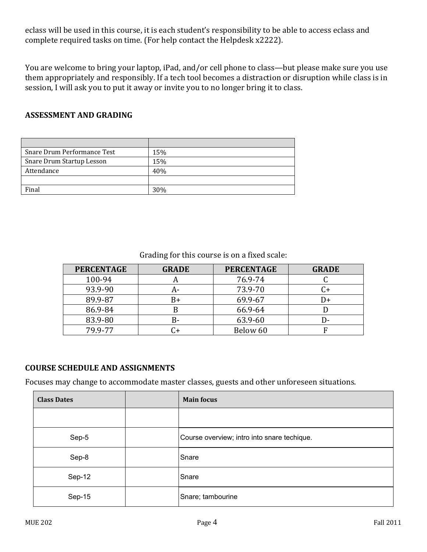eclass will be used in this course, it is each student's responsibility to be able to access eclass and complete required tasks on time. (For help contact the Helpdesk x2222).

You are welcome to bring your laptop, iPad, and/or cell phone to class—but please make sure you use them appropriately and responsibly. If a tech tool becomes a distraction or disruption while class is in session, I will ask you to put it away or invite you to no longer bring it to class.

## **ASSESSMENT AND GRADING**

| Snare Drum Performance Test | 15% |
|-----------------------------|-----|
| Snare Drum Startup Lesson   | 15% |
| Attendance                  | 40% |
|                             |     |
| Final                       | 30% |

# Grading for this course is on a fixed scale:

| <b>PERCENTAGE</b> | <b>GRADE</b> | <b>PERCENTAGE</b> | <b>GRADE</b> |
|-------------------|--------------|-------------------|--------------|
| 100-94            |              | 76.9-74           |              |
| 93.9-90           | А-           | 73.9-70           |              |
| 89.9-87           | B+           | 69.9-67           | $^{+}$       |
| 86.9-84           | В            | 66.9-64           |              |
| 83.9-80           | B-           | 63.9-60           | I)-          |
| 79.9-77           |              | Below 60          |              |

## **COURSE SCHEDULE AND ASSIGNMENTS**

Focuses may change to accommodate master classes, guests and other unforeseen situations.

| <b>Class Dates</b> | <b>Main focus</b>                           |
|--------------------|---------------------------------------------|
|                    |                                             |
| Sep-5              | Course overview; intro into snare techique. |
| Sep-8              | Snare                                       |
| Sep-12             | Snare                                       |
| Sep-15             | Snare; tambourine                           |